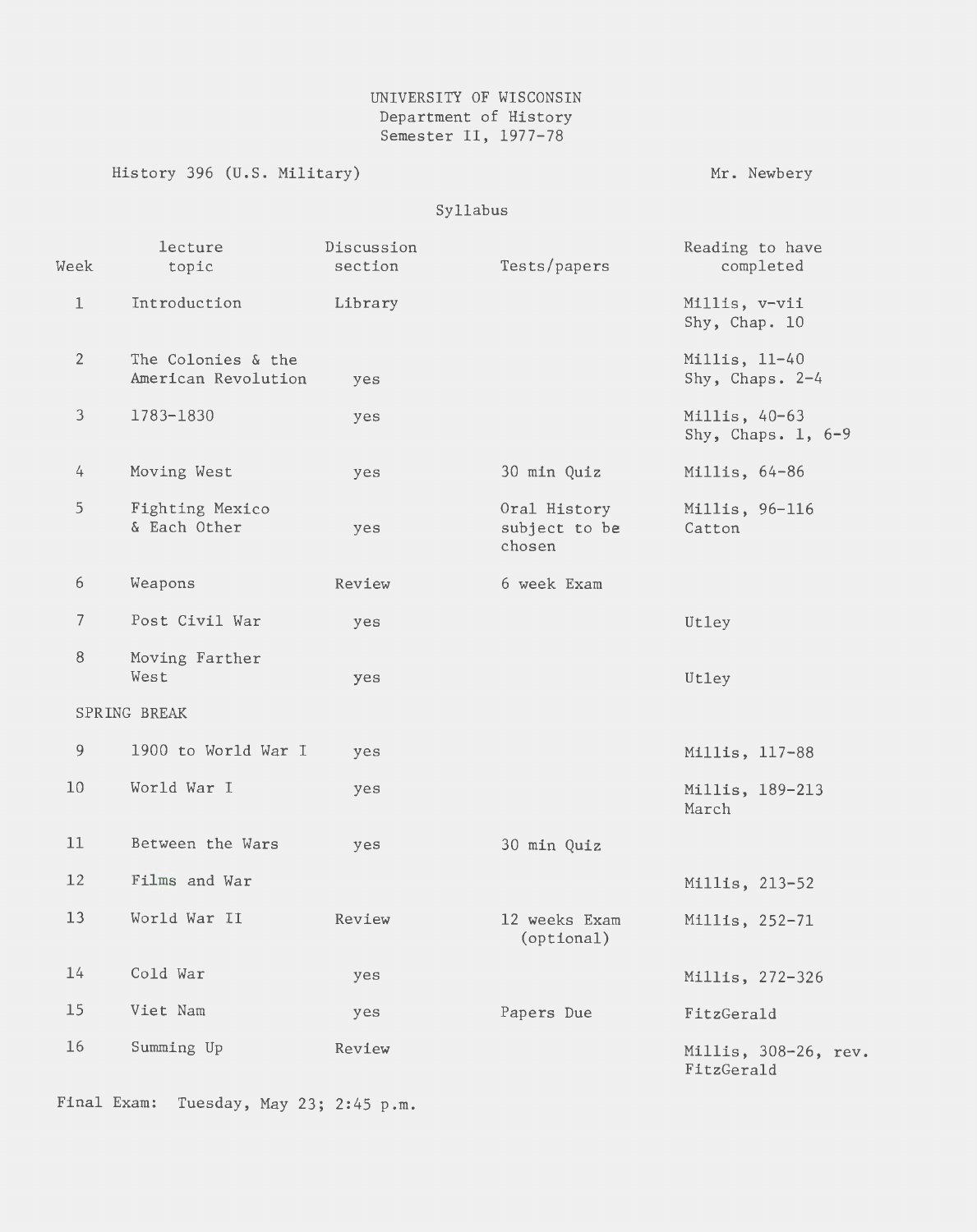## UNIVERSITY OF WISCONSIN Department of History Semester II, 1977-78

History 396 (U.S. Military)

Mr. Newbery

Syllabus

| Week           | lecture<br>topic                          | Discussion<br>section | Tests/papers                            | Reading to have<br>completed          |
|----------------|-------------------------------------------|-----------------------|-----------------------------------------|---------------------------------------|
| $\perp$        | Introduction                              | Library               |                                         | Millis, v-vii<br>Shy, Chap. 10        |
| $\overline{2}$ | The Colonies & the<br>American Revolution | yes                   |                                         | Millis, 11-40<br>Shy, Chaps. 2-4      |
| $\mathfrak{Z}$ | 1783-1830                                 | yes                   |                                         | Millis, 40-63<br>Shy, Chaps. $1, 6-9$ |
| 4              | Moving West                               | yes                   | 30 min Quiz                             | Millis, 64-86                         |
| 5              | Fighting Mexico<br>& Each Other           | yes                   | Oral History<br>subject to be<br>chosen | Millis, 96-116<br>Catton              |
| 6              | Weapons                                   | Review                | 6 week Exam                             |                                       |
| $\overline{7}$ | Post Civil War                            | yes                   |                                         | Utley                                 |
| $\, 8$         | Moving Farther<br>West                    | yes                   |                                         | Utley                                 |
|                | SPRING BREAK                              |                       |                                         |                                       |
| 9              | 1900 to World War I                       | yes                   |                                         | Millis, 117-88                        |
| 10             | World War I                               | yes                   |                                         | Millis, 189-213<br>March              |
| 11             | Between the Wars                          | yes                   | 30 min Quiz                             |                                       |
| 12             | Films and War                             |                       |                                         | Millis, 213-52                        |
| 13             | World War II                              | Review                | 12 weeks Exam<br>(optional)             | Millis, 252-71                        |
| 14             | Cold War                                  | yes                   |                                         | Millis, 272-326                       |
| 15             | Viet Nam                                  | yes                   | Papers Due                              | FitzGerald                            |
| 16             | Summing Up                                | Review                |                                         | Millis, 308-26, rev.<br>FitzGerald    |

Final Exam: Tuesday, May 23; 2:45 p.m.